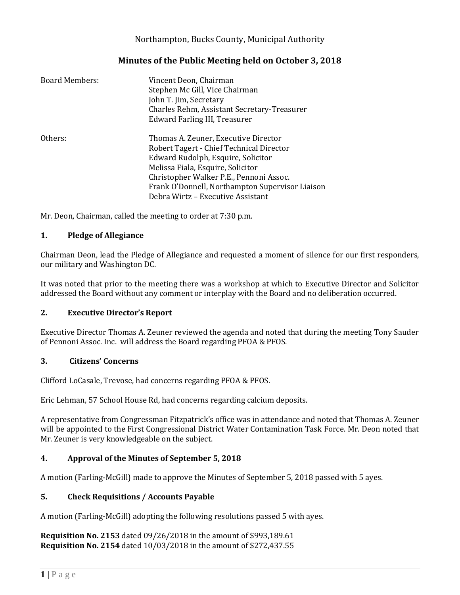# Northampton, Bucks County, Municipal Authority

# **Minutes of the Public Meeting held on October 3, 2018**

| <b>Board Members:</b> | Vincent Deon, Chairman<br>Stephen Mc Gill, Vice Chairman<br>John T. Jim, Secretary<br>Charles Rehm, Assistant Secretary-Treasurer<br>Edward Farling III, Treasurer                                                                                                                             |
|-----------------------|------------------------------------------------------------------------------------------------------------------------------------------------------------------------------------------------------------------------------------------------------------------------------------------------|
| Others:               | Thomas A. Zeuner, Executive Director<br>Robert Tagert - Chief Technical Director<br>Edward Rudolph, Esquire, Solicitor<br>Melissa Fiala, Esquire, Solicitor<br>Christopher Walker P.E., Pennoni Assoc.<br>Frank O'Donnell, Northampton Supervisor Liaison<br>Debra Wirtz – Executive Assistant |

Mr. Deon, Chairman, called the meeting to order at 7:30 p.m.

### **1. Pledge of Allegiance**

Chairman Deon, lead the Pledge of Allegiance and requested a moment of silence for our first responders, our military and Washington DC.

It was noted that prior to the meeting there was a workshop at which to Executive Director and Solicitor addressed the Board without any comment or interplay with the Board and no deliberation occurred.

### **2. Executive Director's Report**

Executive Director Thomas A. Zeuner reviewed the agenda and noted that during the meeting Tony Sauder of Pennoni Assoc. Inc. will address the Board regarding PFOA & PFOS.

### **3. Citizens' Concerns**

Clifford LoCasale, Trevose, had concerns regarding PFOA & PFOS.

Eric Lehman, 57 School House Rd, had concerns regarding calcium deposits.

A representative from Congressman Fitzpatrick's office was in attendance and noted that Thomas A. Zeuner will be appointed to the First Congressional District Water Contamination Task Force. Mr. Deon noted that Mr. Zeuner is very knowledgeable on the subject.

### **4. Approval of the Minutes of September 5, 2018**

A motion (Farling-McGill) made to approve the Minutes of September 5, 2018 passed with 5 ayes.

### **5. Check Requisitions / Accounts Payable**

A motion (Farling-McGill) adopting the following resolutions passed 5 with ayes.

**Requisition No. 2153** dated 09/26/2018 in the amount of \$993,189.61 **Requisition No. 2154** dated 10/03/2018 in the amount of \$272,437.55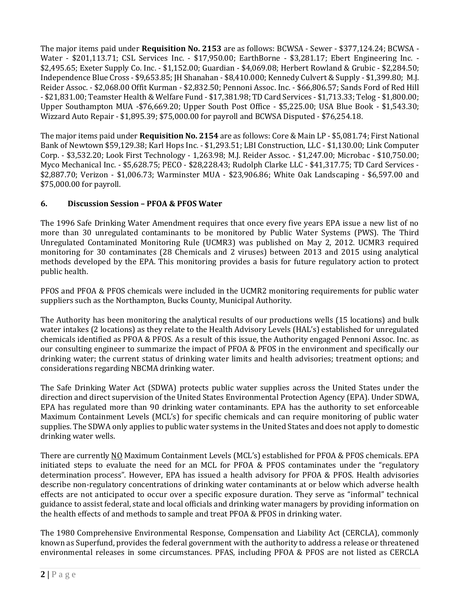The major items paid under **Requisition No. 2153** are as follows: BCWSA - Sewer - \$377,124.24; BCWSA - Water - \$201,113.71; CSL Services Inc. - \$17,950.00; EarthBorne - \$3,281.17; Ebert Engineering Inc. - \$2,495.65; Exeter Supply Co. Inc. - \$1,152.00; Guardian - \$4,069.08; Herbert Rowland & Grubic - \$2,284.50; Independence Blue Cross - \$9,653.85; JH Shanahan - \$8,410.000; Kennedy Culvert & Supply - \$1,399.80; M.J. Reider Assoc. - \$2,068.00 Offit Kurman - \$2,832.50; Pennoni Assoc. Inc. - \$66,806.57; Sands Ford of Red Hill - \$21,831.00; Teamster Health & Welfare Fund - \$17,381.98; TD Card Services - \$1,713.33; Telog - \$1,800.00; Upper Southampton MUA -\$76,669.20; Upper South Post Office - \$5,225.00; USA Blue Book - \$1,543.30; Wizzard Auto Repair - \$1,895.39; \$75,000.00 for payroll and BCWSA Disputed - \$76,254.18.

The major items paid under **Requisition No. 2154** are as follows: Core & Main LP - \$5,081.74; First National Bank of Newtown \$59,129.38; Karl Hops Inc. - \$1,293.51; LBI Construction, LLC - \$1,130.00; Link Computer Corp. - \$3,532.20; Look First Technology - 1,263.98; M.J. Reider Assoc. - \$1,247.00; Microbac - \$10,750.00; Myco Mechanical Inc. - \$5,628.75; PECO - \$28,228.43; Rudolph Clarke LLC - \$41,317.75; TD Card Services - \$2,887.70; Verizon - \$1,006.73; Warminster MUA - \$23,906.86; White Oak Landscaping - \$6,597.00 and \$75,000.00 for payroll.

# **6. Discussion Session – PFOA & PFOS Water**

The 1996 Safe Drinking Water Amendment requires that once every five years EPA issue a new list of no more than 30 unregulated contaminants to be monitored by Public Water Systems (PWS). The Third Unregulated Contaminated Monitoring Rule (UCMR3) was published on May 2, 2012. UCMR3 required monitoring for 30 contaminates (28 Chemicals and 2 viruses) between 2013 and 2015 using analytical methods developed by the EPA. This monitoring provides a basis for future regulatory action to protect public health.

PFOS and PFOA & PFOS chemicals were included in the UCMR2 monitoring requirements for public water suppliers such as the Northampton, Bucks County, Municipal Authority.

The Authority has been monitoring the analytical results of our productions wells (15 locations) and bulk water intakes (2 locations) as they relate to the Health Advisory Levels (HAL's) established for unregulated chemicals identified as PFOA & PFOS. As a result of this issue, the Authority engaged Pennoni Assoc. Inc. as our consulting engineer to summarize the impact of PFOA & PFOS in the environment and specifically our drinking water; the current status of drinking water limits and health advisories; treatment options; and considerations regarding NBCMA drinking water.

The Safe Drinking Water Act (SDWA) protects public water supplies across the United States under the direction and direct supervision of the United States Environmental Protection Agency (EPA). Under SDWA, EPA has regulated more than 90 drinking water contaminants. EPA has the authority to set enforceable Maximum Containment Levels (MCL's) for specific chemicals and can require monitoring of public water supplies. The SDWA only applies to public water systems in the United States and does not apply to domestic drinking water wells.

There are currently NO Maximum Containment Levels (MCL's) established for PFOA & PFOS chemicals. EPA initiated steps to evaluate the need for an MCL for PFOA & PFOS contaminates under the "regulatory determination process". However, EPA has issued a health advisory for PFOA & PFOS. Health advisories describe non-regulatory concentrations of drinking water contaminants at or below which adverse health effects are not anticipated to occur over a specific exposure duration. They serve as "informal" technical guidance to assist federal, state and local officials and drinking water managers by providing information on the health effects of and methods to sample and treat PFOA & PFOS in drinking water.

The 1980 Comprehensive Environmental Response, Compensation and Liability Act (CERCLA), commonly known as Superfund, provides the federal government with the authority to address a release or threatened environmental releases in some circumstances. PFAS, including PFOA & PFOS are not listed as CERCLA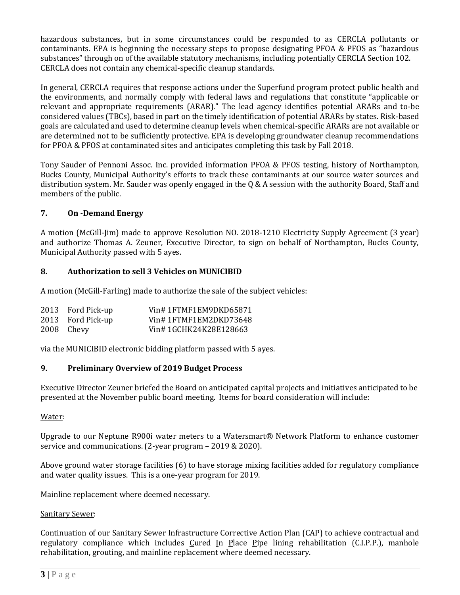hazardous substances, but in some circumstances could be responded to as CERCLA pollutants or contaminants. EPA is beginning the necessary steps to propose designating PFOA & PFOS as "hazardous substances" through on of the available statutory mechanisms, including potentially CERCLA Section 102. CERCLA does not contain any chemical-specific cleanup standards.

In general, CERCLA requires that response actions under the Superfund program protect public health and the environments, and normally comply with federal laws and regulations that constitute "applicable or relevant and appropriate requirements (ARAR)." The lead agency identifies potential ARARs and to-be considered values (TBCs), based in part on the timely identification of potential ARARs by states. Risk-based goals are calculated and used to determine cleanup levels when chemical-specific ARARs are not available or are determined not to be sufficiently protective. EPA is developing groundwater cleanup recommendations for PFOA & PFOS at contaminated sites and anticipates completing this task by Fall 2018.

Tony Sauder of Pennoni Assoc. Inc. provided information PFOA & PFOS testing, history of Northampton, Bucks County, Municipal Authority's efforts to track these contaminants at our source water sources and distribution system. Mr. Sauder was openly engaged in the Q & A session with the authority Board, Staff and members of the public.

### **7. On -Demand Energy**

A motion (McGill-Jim) made to approve Resolution NO. 2018-1210 Electricity Supply Agreement (3 year) and authorize Thomas A. Zeuner, Executive Director, to sign on behalf of Northampton, Bucks County, Municipal Authority passed with 5 ayes.

### **8. Authorization to sell 3 Vehicles on MUNICIBID**

A motion (McGill-Farling) made to authorize the sale of the subject vehicles:

| 2013 Ford Pick-up | Vin#1FTMF1EM9DKD65871 |
|-------------------|-----------------------|
| 2013 Ford Pick-up | Vin#1FTMF1EM2DKD73648 |
| 2008 Chevy        | Vin#1GCHK24K28E128663 |

via the MUNICIBID electronic bidding platform passed with 5 ayes.

### **9. Preliminary Overview of 2019 Budget Process**

Executive Director Zeuner briefed the Board on anticipated capital projects and initiatives anticipated to be presented at the November public board meeting. Items for board consideration will include:

#### Water:

Upgrade to our Neptune R900i water meters to a Watersmart® Network Platform to enhance customer service and communications. (2-year program – 2019 & 2020).

Above ground water storage facilities (6) to have storage mixing facilities added for regulatory compliance and water quality issues. This is a one-year program for 2019.

Mainline replacement where deemed necessary.

### Sanitary Sewer:

Continuation of our Sanitary Sewer Infrastructure Corrective Action Plan (CAP) to achieve contractual and regulatory compliance which includes Cured In Place Pipe lining rehabilitation (C.I.P.P.), manhole rehabilitation, grouting, and mainline replacement where deemed necessary.